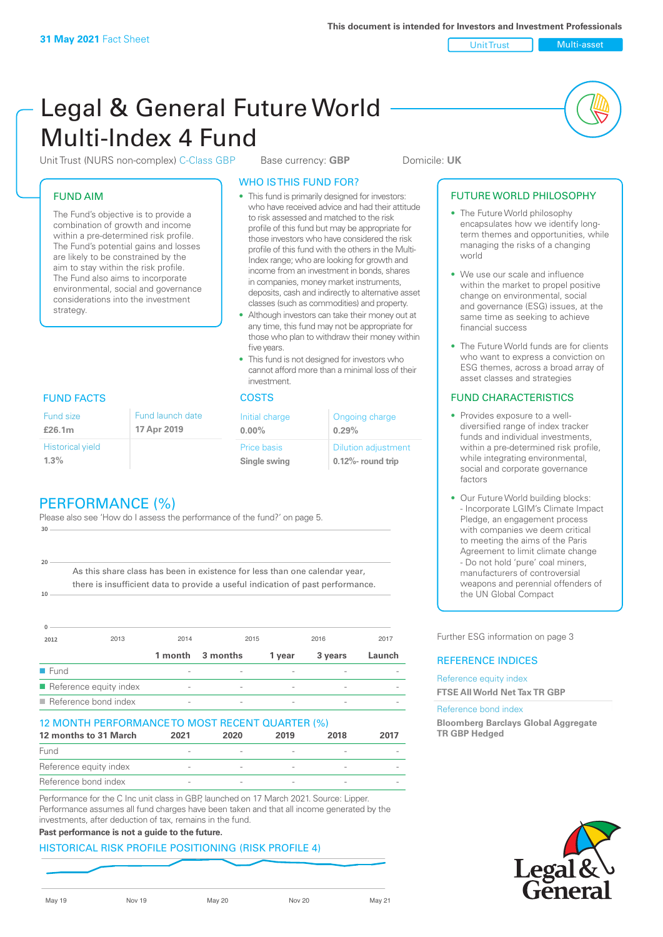Unit Trust (NURS non-complex) C-Class GBP Base currency: **GBP** Domicile: UK

#### FUND AIM

The Fund's objective is to provide a combination of growth and income within a pre-determined risk profile. The Fund's potential gains and losses are likely to be constrained by the aim to stay within the risk profile. The Fund also aims to incorporate environmental, social and governance considerations into the investment strategy.

### WHO IS THIS FUND FOR?

- This fund is primarily designed for investors: who have received advice and had their attitude to risk assessed and matched to the risk profile of this fund but may be appropriate for those investors who have considered the risk profile of this fund with the others in the Multi-Index range; who are looking for growth and income from an investment in bonds, shares in companies, money market instruments, deposits, cash and indirectly to alternative asset classes (such as commodities) and property.
- Although investors can take their money out at any time, this fund may not be appropriate for those who plan to withdraw their money within five years.
- This fund is not designed for investors who cannot afford more than a minimal loss of their investment.

| Fund launch date | Initial charge              | Ongoing charge                                      |  |
|------------------|-----------------------------|-----------------------------------------------------|--|
| 17 Apr 2019      | $0.00\%$                    | 0.29%                                               |  |
|                  | Price basis<br>Single swing | <b>Dilution adjustment</b><br>$0.12\%$ - round trip |  |

#### FUND FACTS COSTS

Historical yield

Fund size **£26.1m**

**1.3%**

**10**

**20**

# PERFORMANCE (%)

Please also see 'How do I assess the performance of the fund?' on page 5. **30**

As this share class has been in existence for less than one calendar year, there is insufficient data to provide a useful indication of past performance.

| $\Omega$            |                        |                          |          |                          |         |        |
|---------------------|------------------------|--------------------------|----------|--------------------------|---------|--------|
| 2012                | 2013                   | 2014                     | 2015     |                          | 2016    | 2017   |
|                     |                        | 1 month                  | 3 months | 1 year                   | 3 years | Launch |
| $\blacksquare$ Fund |                        |                          |          |                          |         |        |
|                     | Reference equity index | $\overline{\phantom{0}}$ |          | $\overline{\phantom{a}}$ |         |        |
|                     | Reference bond index   | $\overline{\phantom{a}}$ |          |                          |         |        |

#### 12 MONTH PERFORMANCE TO MOST RECENT QUARTER (%)

| 12 months to 31 March  | 2021   | 2020 | 2019 | 2018   | 2017 |
|------------------------|--------|------|------|--------|------|
| Fund                   |        |      |      |        |      |
| Reference equity index |        |      |      |        |      |
| Reference bond index   | $\sim$ |      |      | $\sim$ |      |

Performance for the C Inc unit class in GBP, launched on 17 March 2021. Source: Lipper. Performance assumes all fund charges have been taken and that all income generated by the investments, after deduction of tax, remains in the fund.

#### **Past performance is not a guide to the future.**

#### HISTORICAL RISK PROFILE POSITIONING (RISK PROFILE 4)

#### FUTURE WORLD PHILOSOPHY

- The Future World philosophy encapsulates how we identify longterm themes and opportunities, while managing the risks of a changing world
- We use our scale and influence within the market to propel positive change on environmental, social and governance (ESG) issues, at the same time as seeking to achieve financial success
- The Future World funds are for clients who want to express a conviction on ESG themes, across a broad array of asset classes and strategies

#### FUND CHARACTERISTICS

- Provides exposure to a welldiversified range of index tracker funds and individual investments, within a pre-determined risk profile while integrating environmental, social and corporate governance factors
- Our Future World building blocks: - Incorporate LGIM's Climate Impact Pledge, an engagement process with companies we deem critical to meeting the aims of the Paris Agreement to limit climate change - Do not hold 'pure' coal miners, manufacturers of controversial weapons and perennial offenders of the UN Global Compact

Further ESG information on page 3

#### REFERENCE INDICES

#### Reference equity index **FTSE All World Net Tax TR GBP**

#### Reference bond index

**Bloomberg Barclays Global Aggregate TR GBP Hedged**

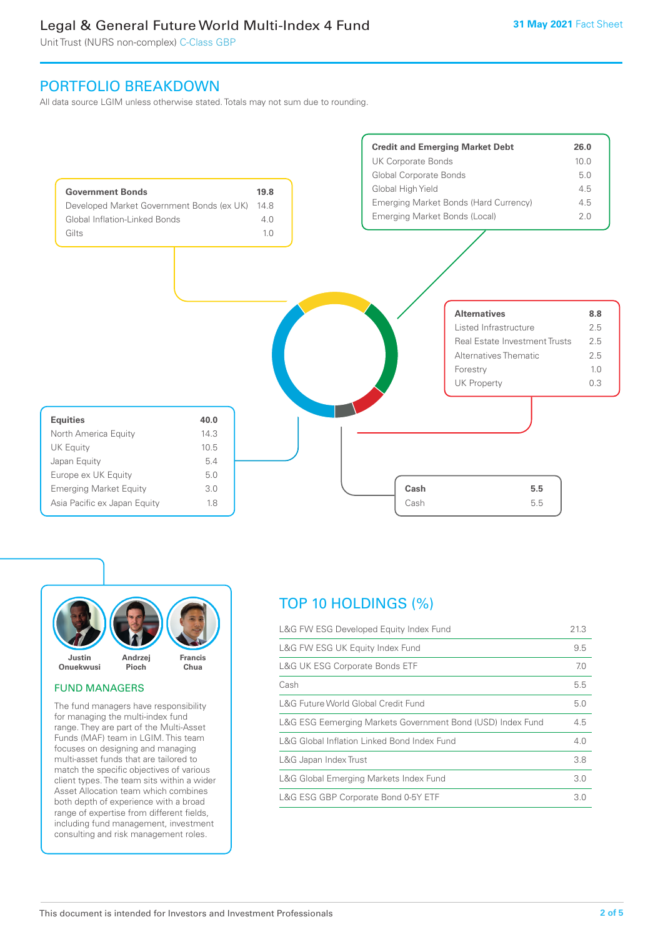Unit Trust (NURS non-complex) C-Class GBP

# PORTFOLIO BREAKDOWN

All data source LGIM unless otherwise stated. Totals may not sum due to rounding.





#### FUND MANAGERS

The fund managers have responsibility for managing the multi-index fund range. They are part of the Multi-Asset Funds (MAF) team in LGIM. This team focuses on designing and managing multi-asset funds that are tailored to match the specific objectives of various client types. The team sits within a wider Asset Allocation team which combines both depth of experience with a broad range of expertise from different fields, including fund management, investment consulting and risk management roles.

# TOP 10 HOLDINGS (%)

| L&G FW ESG Developed Equity Index Fund                     |     |
|------------------------------------------------------------|-----|
| L&G FW ESG UK Equity Index Fund                            | 9.5 |
| <b>L&amp;G UK ESG Corporate Bonds ETF</b>                  | 7.0 |
| Cash                                                       | 5.5 |
| L&G Future World Global Credit Fund                        | 5.0 |
| L&G ESG Eemerging Markets Government Bond (USD) Index Fund | 4.5 |
| L&G Global Inflation Linked Bond Index Fund                |     |
| L&G Japan Index Trust                                      | 3.8 |
| L&G Global Emerging Markets Index Fund                     | 3.0 |
| L&G ESG GBP Corporate Bond 0-5Y ETF                        |     |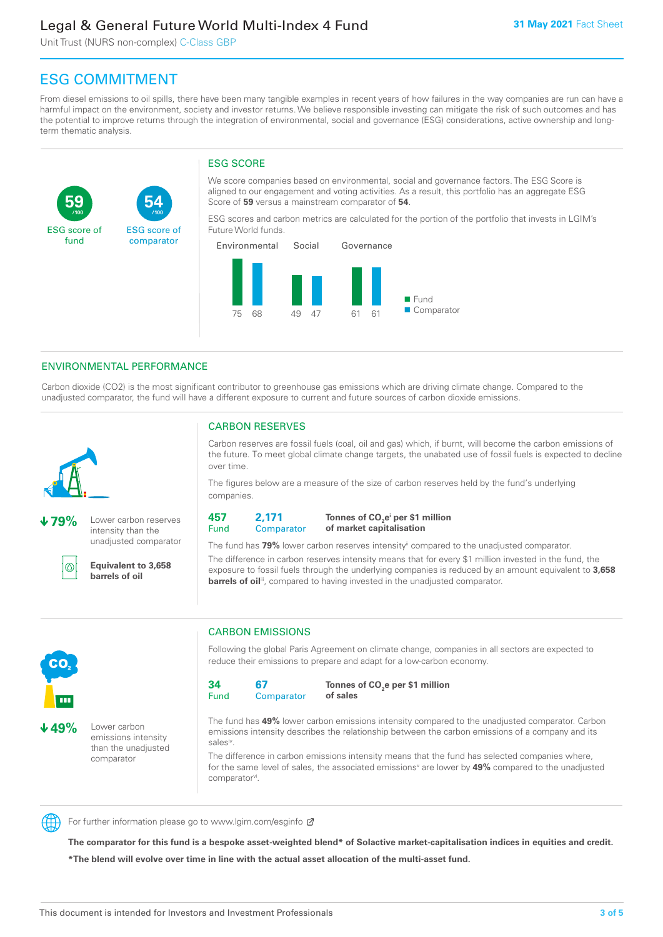Unit Trust (NURS non-complex) C-Class GBP

**54**

ESG score of comparator

# ESG COMMITMENT

**/100 /100**

From diesel emissions to oil spills, there have been many tangible examples in recent years of how failures in the way companies are run can have a harmful impact on the environment, society and investor returns. We believe responsible investing can mitigate the risk of such outcomes and has the potential to improve returns through the integration of environmental, social and governance (ESG) considerations, active ownership and longterm thematic analysis.

#### ESG SCORE

We score companies based on environmental, social and governance factors. The ESG Score is aligned to our engagement and voting activities. As a result, this portfolio has an aggregate ESG Score of **59** versus a mainstream comparator of **54**.

ESG scores and carbon metrics are calculated for the portion of the portfolio that invests in LGIM's Future World funds.



#### ENVIRONMENTAL PERFORMANCE

Carbon dioxide (CO2) is the most significant contributor to greenhouse gas emissions which are driving climate change. Compared to the unadjusted comparator, the fund will have a different exposure to current and future sources of carbon dioxide emissions.



**59**

ESG score of fund

**79%** Lower carbon reserves intensity than the unadjusted comparator

൹

CO<sub>2</sub>

**49%** Lower carbon

emissions intensity than the unadjusted comparator

**Equivalent to 3,658 barrels of oil**

#### CARBON RESERVES

Carbon reserves are fossil fuels (coal, oil and gas) which, if burnt, will become the carbon emissions of the future. To meet global climate change targets, the unabated use of fossil fuels is expected to decline over time.

The figures below are a measure of the size of carbon reserves held by the fund's underlying companies.

**457** Fund **2,171 Comparator** 

**Tonnes of CO2 ei per \$1 million of market capitalisation**

The fund has **79%** lower carbon reserves intensityii compared to the unadjusted comparator. The difference in carbon reserves intensity means that for every \$1 million invested in the fund, the exposure to fossil fuels through the underlying companies is reduced by an amount equivalent to **3,658 barrels of oil**<sup>iii</sup>, compared to having invested in the unadjusted comparator.

# CARBON EMISSIONS

Following the global Paris Agreement on climate change, companies in all sectors are expected to reduce their emissions to prepare and adapt for a low-carbon economy.

**34** Fund **67 Comparator** 

**Tonnes of CO2 e per \$1 million of sales**

The fund has **49%** lower carbon emissions intensity compared to the unadjusted comparator. Carbon emissions intensity describes the relationship between the carbon emissions of a company and its salesiv

The difference in carbon emissions intensity means that the fund has selected companies where, for the same level of sales, the associated emissions<sup>v</sup> are lower by **49%** compared to the unadjusted comparator<sup>vi</sup>.



For further information please go to www.lgim.com/esginfo Ø

**The comparator for this fund is a bespoke asset-weighted blend\* of Solactive market-capitalisation indices in equities and credit. \*The blend will evolve over time in line with the actual asset allocation of the multi-asset fund.**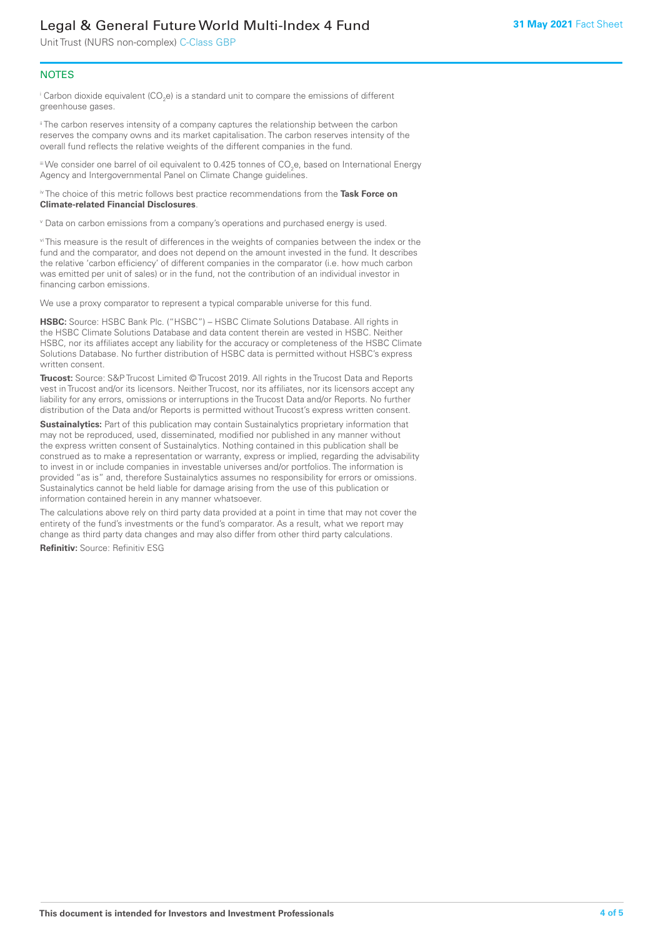Unit Trust (NURS non-complex) C-Class GBP

#### **NOTES**

 $^\mathrm{i}$  Carbon dioxide equivalent (CO<sub>2</sub>e) is a standard unit to compare the emissions of different greenhouse gases.

<sup>ii</sup> The carbon reserves intensity of a company captures the relationship between the carbon reserves the company owns and its market capitalisation. The carbon reserves intensity of the overall fund reflects the relative weights of the different companies in the fund.

iii We consider one barrel of oil equivalent to 0.425 tonnes of CO<sub>2</sub>e, based on International Energy Agency and Intergovernmental Panel on Climate Change guidelines.

#### iv The choice of this metric follows best practice recommendations from the **Task Force on Climate-related Financial Disclosures**.

v Data on carbon emissions from a company's operations and purchased energy is used.

vi This measure is the result of differences in the weights of companies between the index or the fund and the comparator, and does not depend on the amount invested in the fund. It describes the relative 'carbon efficiency' of different companies in the comparator (i.e. how much carbon was emitted per unit of sales) or in the fund, not the contribution of an individual investor in financing carbon emissions.

We use a proxy comparator to represent a typical comparable universe for this fund.

**HSBC:** Source: HSBC Bank Plc. ("HSBC") – HSBC Climate Solutions Database. All rights in the HSBC Climate Solutions Database and data content therein are vested in HSBC. Neither HSBC, nor its affiliates accept any liability for the accuracy or completeness of the HSBC Climate Solutions Database. No further distribution of HSBC data is permitted without HSBC's express written consent.

**Trucost:** Source: S&P Trucost Limited © Trucost 2019. All rights in the Trucost Data and Reports vest in Trucost and/or its licensors. Neither Trucost, nor its affiliates, nor its licensors accept any liability for any errors, omissions or interruptions in the Trucost Data and/or Reports. No further distribution of the Data and/or Reports is permitted without Trucost's express written consent.

**Sustainalytics:** Part of this publication may contain Sustainalytics proprietary information that may not be reproduced, used, disseminated, modified nor published in any manner without the express written consent of Sustainalytics. Nothing contained in this publication shall be construed as to make a representation or warranty, express or implied, regarding the advisability to invest in or include companies in investable universes and/or portfolios. The information is provided "as is" and, therefore Sustainalytics assumes no responsibility for errors or omissions. Sustainalytics cannot be held liable for damage arising from the use of this publication or information contained herein in any manner whatsoever.

The calculations above rely on third party data provided at a point in time that may not cover the entirety of the fund's investments or the fund's comparator. As a result, what we report may change as third party data changes and may also differ from other third party calculations.

**Refinitiv:** Source: Refinitiv ESG